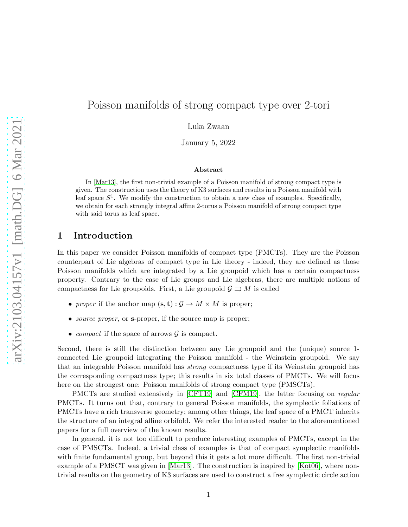# Poisson manifolds of strong compact type over 2-tori

Luka Zwaan

January 5, 2022

#### Abstract

In [\[Mar13\]](#page-14-0), the first non-trivial example of a Poisson manifold of strong compact type is given. The construction uses the theory of K3 surfaces and results in a Poisson manifold with leaf space  $S^1$ . We modify the construction to obtain a new class of examples. Specifically, we obtain for each strongly integral affine 2-torus a Poisson manifold of strong compact type with said torus as leaf space.

## 1 Introduction

In this paper we consider Poisson manifolds of compact type (PMCTs). They are the Poisson counterpart of Lie algebras of compact type in Lie theory - indeed, they are defined as those Poisson manifolds which are integrated by a Lie groupoid which has a certain compactness property. Contrary to the case of Lie groups and Lie algebras, there are multiple notions of compactness for Lie groupoids. First, a Lie groupoid  $\mathcal{G} \rightrightarrows M$  is called

- proper if the anchor map  $(\mathbf{s}, \mathbf{t}) : \mathcal{G} \to M \times M$  is proper;
- *source proper*, or **s**-proper, if the source map is proper;
- *compact* if the space of arrows  $\mathcal{G}$  is compact.

Second, there is still the distinction between any Lie groupoid and the (unique) source 1 connected Lie groupoid integrating the Poisson manifold - the Weinstein groupoid. We say that an integrable Poisson manifold has strong compactness type if its Weinstein groupoid has the corresponding compactness type; this results in six total classes of PMCTs. We will focus here on the strongest one: Poisson manifolds of strong compact type (PMSCTs).

PMCTs are studied extensively in [\[CFT19\]](#page-14-1) and [\[CFM19\]](#page-14-2), the latter focusing on regular PMCTs. It turns out that, contrary to general Poisson manifolds, the symplectic foliations of PMCTs have a rich transverse geometry; among other things, the leaf space of a PMCT inherits the structure of an integral affine orbifold. We refer the interested reader to the aforementioned papers for a full overview of the known results.

In general, it is not too difficult to produce interesting examples of PMCTs, except in the case of PMSCTs. Indeed, a trivial class of examples is that of compact symplectic manifolds with finite fundamental group, but beyond this it gets a lot more difficult. The first non-trivial example of a PMSCT was given in [\[Mar13\]](#page-14-0). The construction is inspired by [\[Kot06\]](#page-14-3), where nontrivial results on the geometry of K3 surfaces are used to construct a free symplectic circle action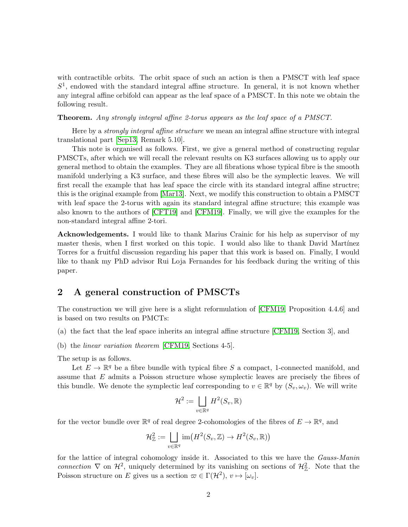with contractible orbits. The orbit space of such an action is then a PMSCT with leaf space  $S<sup>1</sup>$ , endowed with the standard integral affine structure. In general, it is not known whether any integral affine orbifold can appear as the leaf space of a PMSCT. In this note we obtain the following result.

Theorem. Any strongly integral affine 2-torus appears as the leaf space of a PMSCT.

Here by a *strongly integral affine structure* we mean an integral affine structure with integral translational part [\[Sep13,](#page-14-4) Remark 5.10].

This note is organised as follows. First, we give a general method of constructing regular PMSCTs, after which we will recall the relevant results on K3 surfaces allowing us to apply our general method to obtain the examples. They are all fibrations whose typical fibre is the smooth manifold underlying a K3 surface, and these fibres will also be the symplectic leaves. We will first recall the example that has leaf space the circle with its standard integral affine structre; this is the original example from [\[Mar13\]](#page-14-0). Next, we modify this construction to obtain a PMSCT with leaf space the 2-torus with again its standard integral affine structure; this example was also known to the authors of [\[CFT19\]](#page-14-1) and [\[CFM19\]](#page-14-2). Finally, we will give the examples for the non-standard integral affine 2-tori.

Acknowledgements. I would like to thank Marius Crainic for his help as supervisor of my master thesis, when I first worked on this topic. I would also like to thank David Martínez Torres for a fruitful discussion regarding his paper that this work is based on. Finally, I would like to thank my PhD advisor Rui Loja Fernandes for his feedback during the writing of this paper.

## 2 A general construction of PMSCTs

The construction we will give here is a slight reformulation of [\[CFM19,](#page-14-2) Proposition 4.4.6] and is based on two results on PMCTs:

- (a) the fact that the leaf space inherits an integral affine structure [\[CFM19,](#page-14-2) Section 3], and
- (b) the linear variation theorem [\[CFM19,](#page-14-2) Sections 4-5].

The setup is as follows.

Let  $E \to \mathbb{R}^q$  be a fibre bundle with typical fibre S a compact, 1-connected manifold, and assume that E admits a Poisson structure whose symplectic leaves are precisely the fibres of this bundle. We denote the symplectic leaf corresponding to  $v \in \mathbb{R}^q$  by  $(S_v, \omega_v)$ . We will write

$$
\mathcal{H}^2 := \bigsqcup_{v \in \mathbb{R}^q} H^2(S_v, \mathbb{R})
$$

for the vector bundle over  $\mathbb{R}^q$  of real degree 2-cohomologies of the fibres of  $E \to \mathbb{R}^q$ , and

$$
\mathcal{H}_{\mathbb{Z}}^2 := \bigsqcup_{v \in \mathbb{R}^q} \text{im}\big(H^2(S_v, \mathbb{Z}) \to H^2(S_v, \mathbb{R})\big)
$$

for the lattice of integral cohomology inside it. Associated to this we have the Gauss-Manin connection  $\nabla$  on  $\mathcal{H}^2$ , uniquely determined by its vanishing on sections of  $\mathcal{H}^2_{\mathbb{Z}}$ . Note that the Poisson structure on E gives us a section  $\omega \in \Gamma(\mathcal{H}^2), v \mapsto [\omega_v]$ .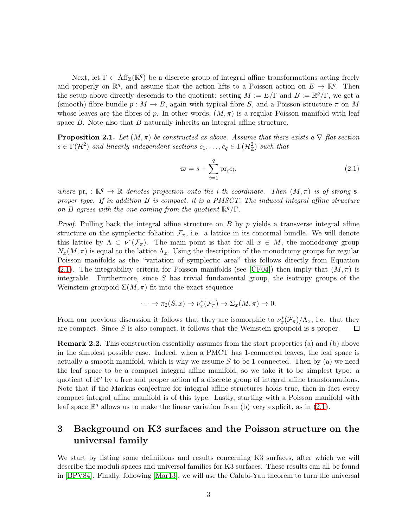Next, let  $\Gamma \subset \text{Aff}_{\mathbb{Z}}(\mathbb{R}^q)$  be a discrete group of integral affine transformations acting freely and properly on  $\mathbb{R}^q$ , and assume that the action lifts to a Poisson action on  $E \to \mathbb{R}^q$ . Then the setup above directly descends to the quotient: setting  $M := E/\Gamma$  and  $B := \mathbb{R}^q/\Gamma$ , we get a (smooth) fibre bundle  $p : M \to B$ , again with typical fibre S, and a Poisson structure  $\pi$  on M whose leaves are the fibres of p. In other words,  $(M, \pi)$  is a regular Poisson manifold with leaf space  $B$ . Note also that  $B$  naturally inherits an integral affine structure.

<span id="page-2-1"></span>**Proposition 2.1.** Let  $(M, \pi)$  be constructed as above. Assume that there exists a  $\nabla$ -flat section  $s \in \Gamma(\mathcal{H}^2)$  and linearly independent sections  $c_1, \ldots, c_q \in \Gamma(\mathcal{H}_\mathbb{Z}^2)$  such that

<span id="page-2-0"></span>
$$
\varpi = s + \sum_{i=1}^{q} \text{pr}_i c_i,
$$
\n(2.1)

where  $pr_i : \mathbb{R}^q \to \mathbb{R}$  denotes projection onto the *i*-th coordinate. Then  $(M, \pi)$  is of strong sproper type. If in addition  $B$  is compact, it is a PMSCT. The induced integral affine structure on B agrees with the one coming from the quotient  $\mathbb{R}^q/\Gamma$ .

*Proof.* Pulling back the integral affine structure on  $B$  by  $p$  yields a transverse integral affine structure on the symplectic foliation  $\mathcal{F}_{\pi}$ , i.e. a lattice in its conormal bundle. We will denote this lattice by  $\Lambda \subset \nu^*(\mathcal{F}_\pi)$ . The main point is that for all  $x \in M$ , the monodromy group  $N_x(M, \pi)$  is equal to the lattice  $\Lambda_x$ . Using the description of the monodromy groups for regular Poisson manifolds as the "variation of symplectic area" this follows directly from Equation [\(2.1\)](#page-2-0). The integrability criteria for Poisson manifolds (see [\[CF04\]](#page-14-5)) then imply that  $(M, \pi)$  is integrable. Furthermore, since  $S$  has trivial fundamental group, the isotropy groups of the Weinstein groupoid  $\Sigma(M, \pi)$  fit into the exact sequence

$$
\cdots \to \pi_2(S, x) \to \nu_x^*(\mathcal{F}_\pi) \to \Sigma_x(M, \pi) \to 0.
$$

From our previous discussion it follows that they are isomorphic to  $\nu_x^*(\mathcal{F}_\pi)/\Lambda_x$ , i.e. that they are compact. Since  $S$  is also compact, it follows that the Weinstein groupoid is s-proper.

Remark 2.2. This construction essentially assumes from the start properties (a) and (b) above in the simplest possible case. Indeed, when a PMCT has 1-connected leaves, the leaf space is actually a smooth manifold, which is why we assume  $S$  to be 1-connected. Then by (a) we need the leaf space to be a compact integral affine manifold, so we take it to be simplest type: a quotient of  $\mathbb{R}^q$  by a free and proper action of a discrete group of integral affine transformations. Note that if the Markus conjecture for integral affine structures holds true, then in fact every compact integral affine manifold is of this type. Lastly, starting with a Poisson manifold with leaf space  $\mathbb{R}^q$  allows us to make the linear variation from (b) very explicit, as in [\(2.1\)](#page-2-0).

# 3 Background on K3 surfaces and the Poisson structure on the universal family

We start by listing some definitions and results concerning K3 surfaces, after which we will describe the moduli spaces and universal families for K3 surfaces. These results can all be found in [\[BPV84\]](#page-14-6). Finally, following [\[Mar13\]](#page-14-0), we will use the Calabi-Yau theorem to turn the universal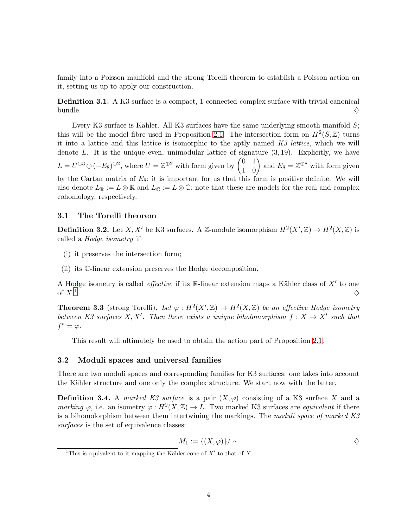family into a Poisson manifold and the strong Torelli theorem to establish a Poisson action on it, setting us up to apply our construction.

Definition 3.1. A K3 surface is a compact, 1-connected complex surface with trivial canonical bundle.  $\diamondsuit$ 

Every K3 surface is Kähler. All K3 surfaces have the same underlying smooth manifold  $S$ ; this will be the model fibre used in Proposition [2.1.](#page-2-1) The intersection form on  $H^2(S, \mathbb{Z})$  turns it into a lattice and this lattice is isomorphic to the aptly named  $K3$  lattice, which we will denote  $L$ . It is the unique even, unimodular lattice of signature  $(3, 19)$ . Explicitly, we have  $L = U^{\oplus 3} \oplus (-E_8)^{\oplus 2}$ , where  $U = \mathbb{Z}^{\oplus 2}$  with form given by  $\begin{pmatrix} 0 & 1 \\ 1 & 0 \end{pmatrix}$  and  $E_8 = \mathbb{Z}^{\oplus 8}$  with form given by the Cartan matrix of  $E_8$ ; it is important for us that this form is positive definite. We will also denote  $L_{\mathbb{R}} := L \otimes \mathbb{R}$  and  $L_{\mathbb{C}} := L \otimes \mathbb{C}$ ; note that these are models for the real and complex cohomology, respectively.

#### 3.1 The Torelli theorem

**Definition 3.2.** Let X, X' be K3 surfaces. A Z-module isomorphism  $H^2(X',\mathbb{Z}) \to H^2(X,\mathbb{Z})$  is called a Hodge isometry if

- (i) it preserves the intersection form;
- (ii) its C-linear extension preserves the Hodge decomposition.

A Hodge isometry is called *effective* if its R-linear extension maps a Kähler class of  $X'$  to one of  $X<sup>1</sup>$  $\frac{1}{2}$  $\frac{1}{2}$  $\frac{1}{2}$ 

<span id="page-3-1"></span>**Theorem 3.3** (strong Torelli). Let  $\varphi: H^2(X,\mathbb{Z}) \to H^2(X,\mathbb{Z})$  be an effective Hodge isometry between K3 surfaces X, X'. Then there exists a unique biholomorphism  $f: X \to X'$  such that  $f^* = \varphi$ .

This result will ultimately be used to obtain the action part of Proposition [2.1.](#page-2-1)

#### 3.2 Moduli spaces and universal families

There are two moduli spaces and corresponding families for K3 surfaces: one takes into account the Kähler structure and one only the complex structure. We start now with the latter.

**Definition 3.4.** A marked K3 surface is a pair  $(X, \varphi)$  consisting of a K3 surface X and a marking  $\varphi$ , i.e. an isometry  $\varphi: H^2(X,\mathbb{Z}) \to L$ . Two marked K3 surfaces are *equivalent* if there is a bihomolorphism between them intertwining the markings. The moduli space of marked K3 surfaces is the set of equivalence classes:

$$
M_1 := \{(X,\varphi)\}/\sim
$$

<span id="page-3-0"></span><sup>&</sup>lt;sup>1</sup>This is equivalent to it mapping the Kähler cone of  $X'$  to that of X.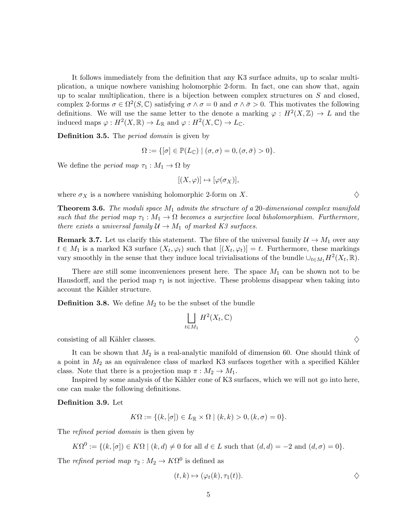It follows immediately from the definition that any K3 surface admits, up to scalar multiplication, a unique nowhere vanishing holomorphic 2-form. In fact, one can show that, again up to scalar multiplication, there is a bijection between complex structures on  $S$  and closed, complex 2-forms  $\sigma \in \Omega^2(S, \mathbb{C})$  satisfying  $\sigma \wedge \sigma = 0$  and  $\sigma \wedge \bar{\sigma} > 0$ . This motivates the following definitions. We will use the same letter to the denote a marking  $\varphi: H^2(X,\mathbb{Z}) \to L$  and the induced maps  $\varphi: H^2(X, \mathbb{R}) \to L_{\mathbb{R}}$  and  $\varphi: H^2(X, \mathbb{C}) \to L_{\mathbb{C}}$ .

Definition 3.5. The *period domain* is given by

$$
\Omega := \{ [\sigma] \in \mathbb{P}(L_{\mathbb{C}}) \mid (\sigma, \sigma) = 0, (\sigma, \bar{\sigma}) > 0 \}.
$$

We define the *period* map  $\tau_1 : M_1 \to \Omega$  by

$$
[(X,\varphi)]\mapsto [\varphi(\sigma_X)],
$$

where  $\sigma_X$  is a nowhere vanishing holomorphic 2-form on X.  $\diamondsuit$ 

**Theorem 3.6.** The moduli space  $M_1$  admits the structure of a 20-dimensional complex manifold such that the period map  $\tau_1 : M_1 \to \Omega$  becomes a surjective local biholomorphism. Furthermore, there exists a universal family  $\mathcal{U} \to M_1$  of marked K3 surfaces.

**Remark 3.7.** Let us clarify this statement. The fibre of the universal family  $\mathcal{U} \to M_1$  over any  $t \in M_1$  is a marked K3 surface  $(X_t, \varphi_t)$  such that  $[(X_t, \varphi_t)] = t$ . Furthermore, these markings vary smoothly in the sense that they induce local trivialisations of the bundle  $\cup_{t\in M_1} H^2(X_t, \mathbb{R})$ .

There are still some inconveniences present here. The space  $M_1$  can be shown not to be Hausdorff, and the period map  $\tau_1$  is not injective. These problems disappear when taking into account the Kähler structure.

**Definition 3.8.** We define  $M_2$  to be the subset of the bundle

$$
\bigsqcup_{t \in M_1} H^2(X_t, \mathbb{C})
$$

consisting of all Kähler classes.  $\Diamond$ 

It can be shown that  $M_2$  is a real-analytic manifold of dimension 60. One should think of a point in  $M_2$  as an equivalence class of marked K3 surfaces together with a specified Kähler class. Note that there is a projection map  $\pi : M_2 \to M_1$ .

Inspired by some analysis of the Kähler cone of K3 surfaces, which we will not go into here, one can make the following definitions.

Definition 3.9. Let

$$
K\Omega := \{(k, [\sigma]) \in L_{\mathbb{R}} \times \Omega \mid (k, k) > 0, (k, \sigma) = 0\}.
$$

The *refined period domain* is then given by

$$
K\Omega^{0} := \{ (k, [\sigma]) \in K\Omega \mid (k, d) \neq 0 \text{ for all } d \in L \text{ such that } (d, d) = -2 \text{ and } (d, \sigma) = 0 \}.
$$

The *refined period map*  $\tau_2: M_2 \to K\Omega^0$  is defined as

$$
(t,k)\mapsto (\varphi_t(k),\tau_1(t)).\qquad \qquad \diamondsuit
$$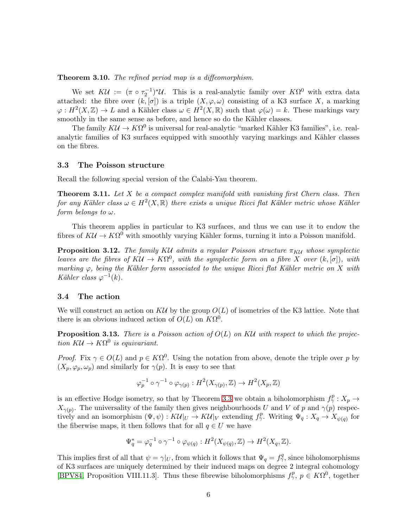Theorem 3.10. The refined period map is a diffeomorphism.

We set  $K\mathcal{U} := (\pi \circ \tau_2^{-1})^* \mathcal{U}$ . This is a real-analytic family over  $K\Omega^0$  with extra data attached: the fibre over  $(k, \lceil \sigma \rceil)$  is a triple  $(X, \varphi, \omega)$  consisting of a K3 surface X, a marking  $\varphi: H^2(X,\mathbb{Z}) \to L$  and a Kähler class  $\omega \in H^2(X,\mathbb{R})$  such that  $\varphi(\omega) = k$ . These markings vary smoothly in the same sense as before, and hence so do the Kähler classes.

The family  $KU \to K\Omega^0$  is universal for real-analytic "marked Kähler K3 families", i.e. realanalytic families of K3 surfaces equipped with smoothly varying markings and Kähler classes on the fibres.

#### 3.3 The Poisson structure

Recall the following special version of the Calabi-Yau theorem.

**Theorem 3.11.** Let  $X$  be a compact complex manifold with vanishing first Chern class. Then for any Kähler class  $\omega \in H^2(X,\mathbb{R})$  there exists a unique Ricci flat Kähler metric whose Kähler form belongs to  $\omega$ .

This theorem applies in particular to K3 surfaces, and thus we can use it to endow the fibres of  $K\mathcal{U} \to K\Omega^0$  with smoothly varying Kähler forms, turning it into a Poisson manifold.

**Proposition 3.12.** The family KU admits a regular Poisson structure  $\pi_{\text{KU}}$  whose symplectic leaves are the fibres of  $K\mathcal{U} \to K\Omega^0$ , with the symplectic form on a fibre X over  $(k, [\sigma])$ , with marking  $\varphi$ , being the Kähler form associated to the unique Ricci flat Kähler metric on X with Kähler class  $\varphi^{-1}(k)$ .

#### 3.4 The action

We will construct an action on  $K\mathcal{U}$  by the group  $O(L)$  of isometries of the K3 lattice. Note that there is an obvious induced action of  $O(L)$  on  $K\Omega^0$ .

**Proposition 3.13.** There is a Poisson action of  $O(L)$  on KU with respect to which the projection  $KU \to K\Omega^0$  is equivariant.

*Proof.* Fix  $\gamma \in O(L)$  and  $p \in K\Omega^0$ . Using the notation from above, denote the triple over p by  $(X_p, \varphi_p, \omega_p)$  and similarly for  $\gamma(p)$ . It is easy to see that

$$
\varphi_p^{-1} \circ \gamma^{-1} \circ \varphi_{\gamma(p)} : H^2(X_{\gamma(p)}, \mathbb{Z}) \to H^2(X_p, \mathbb{Z})
$$

is an effective Hodge isometry, so that by Theorem [3.3](#page-3-1) we obtain a biholomorphism  $f_{\gamma}^p: X_p \to Y_p$  $X_{\gamma(p)}$ . The universality of the family then gives neighbourhoods U and V of p and  $\gamma(p)$  respectively and an isomorphism  $(\Psi, \psi) : K\mathcal{U}|_U \to K\mathcal{U}|_V$  extending  $f^p_\gamma$ . Writing  $\Psi_q : X_q \to X_{\psi(q)}$  for the fiberwise maps, it then follows that for all  $q \in U$  we have

$$
\Psi_q^* = \varphi_q^{-1} \circ \gamma^{-1} \circ \varphi_{\psi(q)} : H^2(X_{\psi(q)}, \mathbb{Z}) \to H^2(X_q, \mathbb{Z}).
$$

This implies first of all that  $\psi = \gamma|_U$ , from which it follows that  $\Psi_q = f_\gamma^q$ , since biholomorphisms of K3 surfaces are uniquely determined by their induced maps on degree 2 integral cohomology [\[BPV84,](#page-14-6) Proposition VIII.11.3]. Thus these fibrewise biholomorphisms  $f_{\gamma}^p$ ,  $p \in K\Omega^0$ , together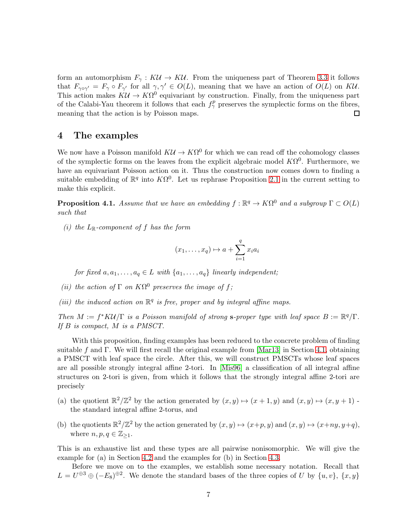form an automorphism  $F_\gamma : K\mathcal{U} \to K\mathcal{U}$ . From the uniqueness part of Theorem [3.3](#page-3-1) it follows that  $F_{\gamma \circ \gamma'} = F_{\gamma} \circ F_{\gamma'}$  for all  $\gamma, \gamma' \in O(L)$ , meaning that we have an action of  $O(L)$  on KU. This action makes  $K\mathcal{U} \to K\Omega^0$  equivariant by construction. Finally, from the uniqueness part of the Calabi-Yau theorem it follows that each  $f_{\gamma}^p$  preserves the symplectic forms on the fibres, meaning that the action is by Poisson maps.  $\Box$ 

### 4 The examples

We now have a Poisson manifold  $K\mathcal{U} \to K\Omega^0$  for which we can read off the cohomology classes of the symplectic forms on the leaves from the explicit algebraic model  $K\Omega^0$ . Furthermore, we have an equivariant Poisson action on it. Thus the construction now comes down to finding a suitable embedding of  $\mathbb{R}^q$  into  $K\Omega^0$ . Let us rephrase Proposition [2.1](#page-2-1) in the current setting to make this explicit.

**Proposition 4.1.** Assume that we have an embedding  $f : \mathbb{R}^q \to K\Omega^0$  and a subgroup  $\Gamma \subset O(L)$ such that

(i) the  $L_{\mathbb{R}}$ -component of f has the form

$$
(x_1, \ldots, x_q) \mapsto a + \sum_{i=1}^q x_i a_i
$$

for fixed  $a, a_1, \ldots, a_q \in L$  with  $\{a_1, \ldots, a_q\}$  linearly independent;

- (ii) the action of  $\Gamma$  on  $K\Omega^0$  preserves the image of f;
- (iii) the induced action on  $\mathbb{R}^q$  is free, proper and by integral affine maps.

Then  $M := f^*K\mathcal{U}/\Gamma$  is a Poisson manifold of strong s-proper type with leaf space  $B := \mathbb{R}^q/\Gamma$ . If B is compact, M is a PMSCT.

With this proposition, finding examples has been reduced to the concrete problem of finding suitable f and Γ. We will first recall the original example from [\[Mar13\]](#page-14-0) in Section [4.1,](#page-7-0) obtaining a PMSCT with leaf space the circle. After this, we will construct PMSCTs whose leaf spaces are all possible strongly integral affine 2-tori. In [\[Mis96\]](#page-14-7) a classification of all integral affine structures on 2-tori is given, from which it follows that the strongly integral affine 2-tori are precisely

- (a) the quotient  $\mathbb{R}^2/\mathbb{Z}^2$  by the action generated by  $(x, y) \mapsto (x + 1, y)$  and  $(x, y) \mapsto (x, y + 1)$ . the standard integral affine 2-torus, and
- (b) the quotients  $\mathbb{R}^2/\mathbb{Z}^2$  by the action generated by  $(x, y) \mapsto (x+p, y)$  and  $(x, y) \mapsto (x+ny, y+q)$ , where  $n, p, q \in \mathbb{Z}_{\geq 1}$ .

This is an exhaustive list and these types are all pairwise nonisomorphic. We will give the example for (a) in Section [4.2](#page-9-0) and the examples for (b) in Section [4.3.](#page-10-0)

Before we move on to the examples, we establish some necessary notation. Recall that  $L = U^{\oplus 3} \oplus (-E_8)^{\oplus 2}$ . We denote the standard bases of the three copies of U by  $\{u, v\}$ ,  $\{x, y\}$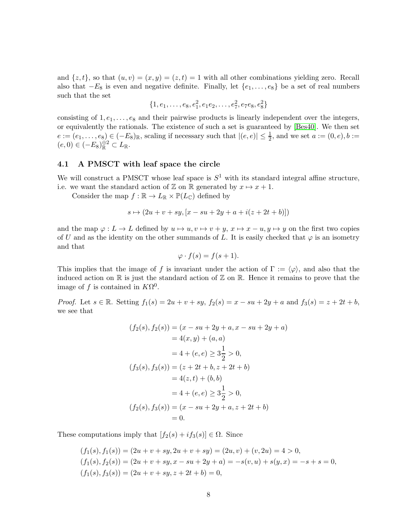and  $\{z, t\}$ , so that  $(u, v) = (x, y) = (z, t) = 1$  with all other combinations yielding zero. Recall also that  $-E_8$  is even and negative definite. Finally, let  $\{e_1, \ldots, e_8\}$  be a set of real numbers such that the set

$$
\{1, e_1, \ldots, e_8, e_1^2, e_1e_2, \ldots, e_7^2, e_7e_8, e_8^2\}
$$

consisting of  $1, e_1, \ldots, e_8$  and their pairwise products is linearly independent over the integers, or equivalently the rationals. The existence of such a set is guaranteed by [Bes40]. We then set  $e := (e_1, \ldots, e_8) \in (-E_8)_{\mathbb{R}}$ , scaling if necessary such that  $|(e, e)| \leq \frac{1}{2}$ , and we set  $a := (0, e), b :=$  $(e, 0) \in (-E_8)_{\mathbb{R}}^{\oplus 2} \subset L_{\mathbb{R}}.$ 

### <span id="page-7-0"></span>4.1 A PMSCT with leaf space the circle

We will construct a PMSCT whose leaf space is  $S^1$  with its standard integral affine structure, i.e. we want the standard action of  $\mathbb Z$  on  $\mathbb R$  generated by  $x \mapsto x + 1$ .

Consider the map  $f : \mathbb{R} \to L_{\mathbb{R}} \times \mathbb{P}(L_{\mathbb{C}})$  defined by

$$
s \mapsto (2u + v + sy, [x - su + 2y + a + i(z + 2t + b)])
$$

and the map  $\varphi: L \to L$  defined by  $u \mapsto u, v \mapsto v + y, x \mapsto x - u, y \mapsto y$  on the first two copies of U and as the identity on the other summands of L. It is easily checked that  $\varphi$  is an isometry and that

$$
\varphi \cdot f(s) = f(s+1).
$$

This implies that the image of f is invariant under the action of  $\Gamma := \langle \varphi \rangle$ , and also that the induced action on  $\mathbb R$  is just the standard action of  $\mathbb Z$  on  $\mathbb R$ . Hence it remains to prove that the image of f is contained in  $K\Omega^0$ .

*Proof.* Let  $s \in \mathbb{R}$ . Setting  $f_1(s) = 2u + v + sy$ ,  $f_2(s) = x - su + 2y + a$  and  $f_3(s) = z + 2t + b$ , we see that

$$
(f_2(s), f_2(s)) = (x - su + 2y + a, x - su + 2y + a)
$$
  
= 4(x, y) + (a, a)  
= 4 + (e, e) \ge 3\frac{1}{2} > 0,  
(f\_3(s), f\_3(s)) = (z + 2t + b, z + 2t + b)  
= 4(z, t) + (b, b)  
= 4 + (e, e) \ge 3\frac{1}{2} > 0,  
(f\_2(s), f\_3(s)) = (x - su + 2y + a, z + 2t + b)  
= 0.

These computations imply that  $[f_2(s) + if_3(s)] \in \Omega$ . Since

$$
(f_1(s), f_1(s)) = (2u + v + sy, 2u + v + sy) = (2u, v) + (v, 2u) = 4 > 0,
$$
  
\n
$$
(f_1(s), f_2(s)) = (2u + v + sy, x - su + 2y + a) = -s(v, u) + s(y, x) = -s + s = 0,
$$
  
\n
$$
(f_1(s), f_3(s)) = (2u + v + sy, z + 2t + b) = 0,
$$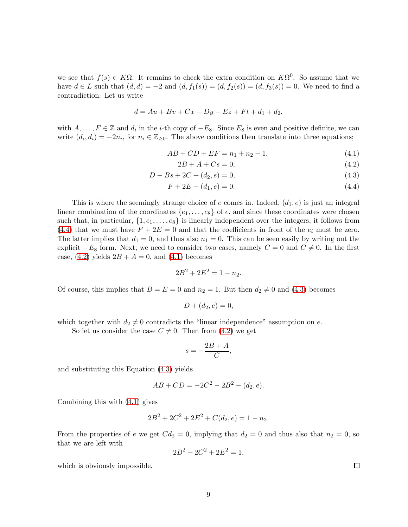we see that  $f(s) \in K\Omega$ . It remains to check the extra condition on  $K\Omega^0$ . So assume that we have  $d \in L$  such that  $(d, d) = -2$  and  $(d, f_1(s)) = (d, f_2(s)) = (d, f_3(s)) = 0$ . We need to find a contradiction. Let us write

$$
d = Au + Bv + Cx + Dy + Ez + Ft + d_1 + d_2,
$$

with  $A, \ldots, F \in \mathbb{Z}$  and  $d_i$  in the *i*-th copy of  $-E_8$ . Since  $E_8$  is even and positive definite, we can write  $(d_i, d_i) = -2n_i$ , for  $n_i \in \mathbb{Z}_{\geq 0}$ . The above conditions then translate into three equations;

$$
AB + CD + EF = n_1 + n_2 - 1,\t\t(4.1)
$$

<span id="page-8-3"></span><span id="page-8-2"></span><span id="page-8-1"></span><span id="page-8-0"></span>
$$
2B + A + Cs = 0,\t(4.2)
$$

$$
D - Bs + 2C + (d_2, e) = 0,\t\t(4.3)
$$

$$
F + 2E + (d_1, e) = 0.
$$
\n(4.4)

This is where the seemingly strange choice of e comes in. Indeed,  $(d_1, e)$  is just an integral linear combination of the coordinates  $\{e_1, \ldots, e_8\}$  of e, and since these coordinates were chosen such that, in particular,  $\{1, e_1, \ldots, e_8\}$  is linearly independent over the integers, it follows from [\(4.4\)](#page-8-0) that we must have  $F + 2E = 0$  and that the coefficients in front of the  $e_i$  must be zero. The latter implies that  $d_1 = 0$ , and thus also  $n_1 = 0$ . This can be seen easily by writing out the explicit  $-E_8$  form. Next, we need to consider two cases, namely  $C = 0$  and  $C \neq 0$ . In the first case,  $(4.2)$  yields  $2B + A = 0$ , and  $(4.1)$  becomes

$$
2B^2 + 2E^2 = 1 - n_2.
$$

Of course, this implies that  $B = E = 0$  and  $n_2 = 1$ . But then  $d_2 \neq 0$  and [\(4.3\)](#page-8-3) becomes

$$
D + (d_2, e) = 0,
$$

which together with  $d_2 \neq 0$  contradicts the "linear independence" assumption on e.

So let us consider the case  $C \neq 0$ . Then from [\(4.2\)](#page-8-1) we get

$$
s = -\frac{2B + A}{C},
$$

and substituting this Equation [\(4.3\)](#page-8-3) yields

$$
AB + CD = -2C^2 - 2B^2 - (d_2, e).
$$

Combining this with [\(4.1\)](#page-8-2) gives

$$
2B^2 + 2C^2 + 2E^2 + C(d_2, e) = 1 - n_2.
$$

From the properties of e we get  $Cd_2 = 0$ , implying that  $d_2 = 0$  and thus also that  $n_2 = 0$ , so that we are left with

$$
2B^2 + 2C^2 + 2E^2 = 1,
$$

which is obviously impossible.

 $\Box$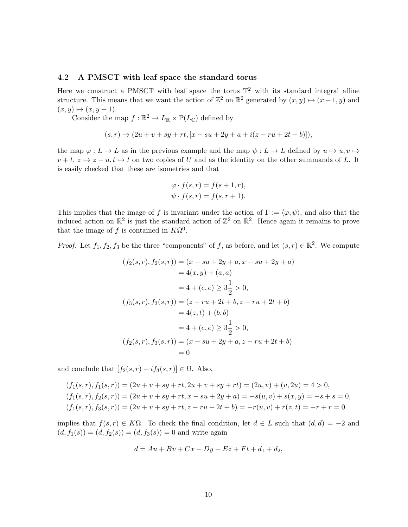#### <span id="page-9-0"></span>4.2 A PMSCT with leaf space the standard torus

Here we construct a PMSCT with leaf space the torus  $\mathbb{T}^2$  with its standard integral affine structure. This means that we want the action of  $\mathbb{Z}^2$  on  $\mathbb{R}^2$  generated by  $(x, y) \mapsto (x + 1, y)$  and  $(x, y) \mapsto (x, y + 1).$ 

Consider the map  $f : \mathbb{R}^2 \to L_{\mathbb{R}} \times \mathbb{P}(L_{\mathbb{C}})$  defined by

$$
(s,r) \mapsto (2u + v + sy + rt, [x - su + 2y + a + i(z - ru + 2t + b)]),
$$

the map  $\varphi: L \to L$  as in the previous example and the map  $\psi: L \to L$  defined by  $u \mapsto u, v \mapsto$  $v + t$ ,  $z \mapsto z - u$ ,  $t \mapsto t$  on two copies of U and as the identity on the other summands of L. It is easily checked that these are isometries and that

$$
\varphi \cdot f(s,r) = f(s+1,r),
$$
  

$$
\psi \cdot f(s,r) = f(s,r+1).
$$

This implies that the image of f is invariant under the action of  $\Gamma := \langle \varphi, \psi \rangle$ , and also that the induced action on  $\mathbb{R}^2$  is just the standard action of  $\mathbb{Z}^2$  on  $\mathbb{R}^2$ . Hence again it remains to prove that the image of f is contained in  $K\Omega^0$ .

*Proof.* Let  $f_1, f_2, f_3$  be the three "components" of f, as before, and let  $(s, r) \in \mathbb{R}^2$ . We compute

$$
(f_2(s,r), f_2(s,r)) = (x - su + 2y + a, x - su + 2y + a)
$$
  
= 4(x, y) + (a, a)  
= 4 + (e, e) \ge 3\frac{1}{2} > 0,  
(f\_3(s,r), f\_3(s,r)) = (z - ru + 2t + b, z - ru + 2t + b)  
= 4(z, t) + (b, b)  
= 4 + (e, e) \ge 3\frac{1}{2} > 0,  
(f\_2(s,r), f\_3(s,r)) = (x - su + 2y + a, z - ru + 2t + b)  
= 0

and conclude that  $[f_2(s,r) + if_3(s,r)] \in \Omega$ . Also,

$$
(f_1(s,r), f_1(s,r)) = (2u + v + sy + rt, 2u + v + sy + rt) = (2u, v) + (v, 2u) = 4 > 0,
$$
  
\n
$$
(f_1(s,r), f_2(s,r)) = (2u + v + sy + rt, x - su + 2y + a) = -s(u, v) + s(x, y) = -s + s = 0,
$$
  
\n
$$
(f_1(s,r), f_3(s,r)) = (2u + v + sy + rt, z - ru + 2t + b) = -r(u, v) + r(z, t) = -r + r = 0
$$

implies that  $f(s, r) \in K\Omega$ . To check the final condition, let  $d \in L$  such that  $(d, d) = -2$  and  $(d, f_1(s)) = (d, f_2(s)) = (d, f_3(s)) = 0$  and write again

$$
d = Au + Bv + Cx + Dy + Ez + Ft + d_1 + d_2,
$$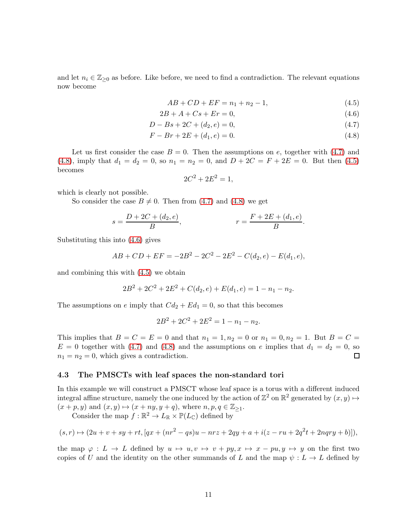and let  $n_i \in \mathbb{Z}_{\geq 0}$  as before. Like before, we need to find a contradiction. The relevant equations now become

<span id="page-10-3"></span>
$$
AB + CD + EF = n_1 + n_2 - 1,\t\t(4.5)
$$

$$
2B + A + Cs + Er = 0,\t\t(4.6)
$$

$$
D - Bs + 2C + (d_2, e) = 0,\t\t(4.7)
$$

$$
F - Br + 2E + (d_1, e) = 0.
$$
\n(4.8)

Let us first consider the case  $B = 0$ . Then the assumptions on e, together with [\(4.7\)](#page-10-1) and [\(4.8\)](#page-10-2), imply that  $d_1 = d_2 = 0$ , so  $n_1 = n_2 = 0$ , and  $D + 2C = F + 2E = 0$ . But then [\(4.5\)](#page-10-3) becomes

<span id="page-10-4"></span><span id="page-10-2"></span><span id="page-10-1"></span>
$$
2C^2 + 2E^2 = 1,
$$

which is clearly not possible.

So consider the case  $B \neq 0$ . Then from [\(4.7\)](#page-10-1) and [\(4.8\)](#page-10-2) we get

$$
s = \frac{D + 2C + (d_2, e)}{B}, \qquad r = \frac{F + 2E + (d_1, e)}{B}.
$$

Substituting this into [\(4.6\)](#page-10-4) gives

$$
AB + CD + EF = -2B^2 - 2C^2 - 2E^2 - C(d_2, e) - E(d_1, e),
$$

and combining this with [\(4.5\)](#page-10-3) we obtain

$$
2B2 + 2C2 + 2E2 + C(d2, e) + E(d1, e) = 1 - n1 - n2.
$$

The assumptions on e imply that  $Cd_2 + Ed_1 = 0$ , so that this becomes

$$
2B^2 + 2C^2 + 2E^2 = 1 - n_1 - n_2.
$$

This implies that  $B = C = E = 0$  and that  $n_1 = 1, n_2 = 0$  or  $n_1 = 0, n_2 = 1$ . But  $B = C =$  $E = 0$  together with [\(4.7\)](#page-10-1) and [\(4.8\)](#page-10-2) and the assumptions on e implies that  $d_1 = d_2 = 0$ , so  $n_1 = n_2 = 0$ , which gives a contradiction.  $\Box$ 

#### <span id="page-10-0"></span>4.3 The PMSCTs with leaf spaces the non-standard tori

In this example we will construct a PMSCT whose leaf space is a torus with a different induced integral affine structure, namely the one induced by the action of  $\mathbb{Z}^2$  on  $\mathbb{R}^2$  generated by  $(x, y) \mapsto$  $(x + p, y)$  and  $(x, y) \mapsto (x + ny, y + q)$ , where  $n, p, q \in \mathbb{Z}_{\geq 1}$ . Consider the map  $f : \mathbb{R}^2 \to L_{\mathbb{R}} \times \mathbb{P}(L_{\mathbb{C}})$  defined by

$$
(s,r)\mapsto (2u+v+sy+rt,[qx+(nr^2-qs)u-nrz+2qy+a+i(z-ru+2q^2t+2nqry+b)]),
$$

the map  $\varphi: L \to L$  defined by  $u \mapsto u, v \mapsto v + py, x \mapsto x - pu, y \mapsto y$  on the first two copies of U and the identity on the other summands of L and the map  $\psi : L \to L$  defined by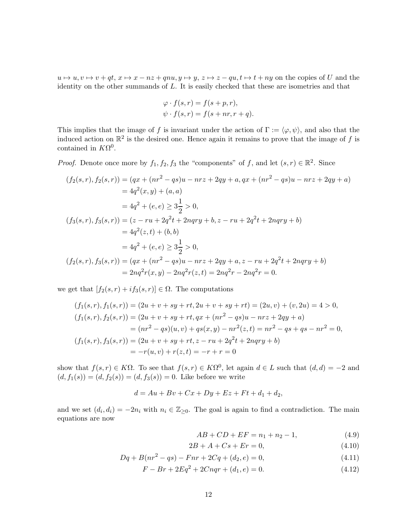$u \mapsto u, v \mapsto v + qt, x \mapsto x - nz + qnu, y \mapsto y, z \mapsto z - qu, t \mapsto t + ny$  on the copies of U and the identity on the other summands of L. It is easily checked that these are isometries and that

$$
\varphi \cdot f(s,r) = f(s+p,r),
$$
  

$$
\psi \cdot f(s,r) = f(s+nr, r+q).
$$

This implies that the image of f is invariant under the action of  $\Gamma := \langle \varphi, \psi \rangle$ , and also that the induced action on  $\mathbb{R}^2$  is the desired one. Hence again it remains to prove that the image of f is contained in  $K\Omega^0$ .

*Proof.* Denote once more by  $f_1, f_2, f_3$  the "components" of f, and let  $(s, r) \in \mathbb{R}^2$ . Since

$$
(f_2(s,r), f_2(s,r)) = (qx + (nr^2 - qs)u - nrz + 2qy + a, qx + (nr^2 - qs)u - nrz + 2qy + a)
$$
  
\n
$$
= 4q^2(x,y) + (a,a)
$$
  
\n
$$
= 4q^2 + (e,e) \ge 3\frac{1}{2} > 0,
$$
  
\n
$$
(f_3(s,r), f_3(s,r)) = (z - ru + 2q^2t + 2nqry + b, z - ru + 2q^2t + 2nqry + b)
$$
  
\n
$$
= 4q^2(z,t) + (b,b)
$$
  
\n
$$
= 4q^2 + (e,e) \ge 3\frac{1}{2} > 0,
$$
  
\n
$$
(f_2(s,r), f_3(s,r)) = (qx + (nr^2 - qs)u - nrz + 2qy + a, z - ru + 2q^2t + 2nqry + b)
$$
  
\n
$$
= 2nq^2r(x,y) - 2nq^2r(z,t) = 2nq^2r - 2nq^2r = 0.
$$

we get that  $[f_2(s,r) + if_3(s,r)] \in \Omega$ . The computations

$$
(f_1(s,r), f_1(s,r)) = (2u + v + sy + rt, 2u + v + sy + rt) = (2u, v) + (v, 2u) = 4 > 0,
$$
  
\n
$$
(f_1(s,r), f_2(s,r)) = (2u + v + sy + rt, qx + (nr2 - qs)u - nrz + 2qy + a)
$$
  
\n
$$
= (nr2 - qs)(u, v) + qs(x, y) - nr2(z, t) = nr2 - qs + qs - nr2 = 0,
$$
  
\n
$$
(f_1(s,r), f_3(s,r)) = (2u + v + sy + rt, z - ru + 2q2t + 2nqry + b)
$$
  
\n
$$
= -r(u, v) + r(z, t) = -r + r = 0
$$

show that  $f(s,r) \in K\Omega$ . To see that  $f(s,r) \in K\Omega^0$ , let again  $d \in L$  such that  $(d,d) = -2$  and  $(d, f_1(s)) = (d, f_2(s)) = (d, f_3(s)) = 0$ . Like before we write

$$
d = Au + Bv + Cx + Dy + Ez + Ft + d_1 + d_2,
$$

and we set  $(d_i, d_i) = -2n_i$  with  $n_i \in \mathbb{Z}_{\geq 0}$ . The goal is again to find a contradiction. The main equations are now

<span id="page-11-3"></span><span id="page-11-2"></span><span id="page-11-1"></span><span id="page-11-0"></span>
$$
AB + CD + EF = n_1 + n_2 - 1,\t\t(4.9)
$$

$$
2B + A + Cs + Er = 0,\t(4.10)
$$

$$
Dq + B(nr^2 - qs) - Fnr + 2Cq + (d_2, e) = 0,
$$
\n(4.11)

$$
F - Br + 2Eq2 + 2Cnqr + (d1, e) = 0.
$$
\n(4.12)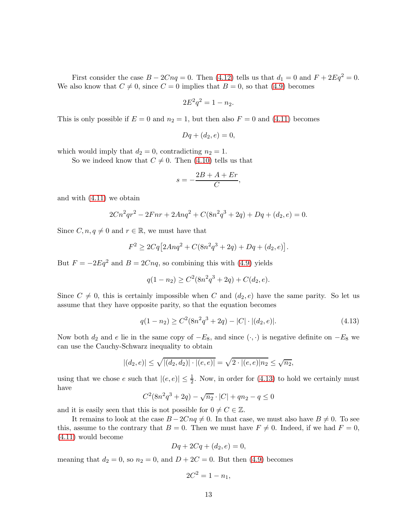First consider the case  $B - 2Cnq = 0$ . Then [\(4.12\)](#page-11-0) tells us that  $d_1 = 0$  and  $F + 2Eq^2 = 0$ . We also know that  $C \neq 0$ , since  $C = 0$  implies that  $B = 0$ , so that [\(4.9\)](#page-11-1) becomes

$$
2E^2q^2 = 1 - n_2.
$$

This is only possible if  $E = 0$  and  $n_2 = 1$ , but then also  $F = 0$  and  $(4.11)$  becomes

$$
Dq + (d_2, e) = 0,
$$

which would imply that  $d_2 = 0$ , contradicting  $n_2 = 1$ .

So we indeed know that  $C \neq 0$ . Then [\(4.10\)](#page-11-3) tells us that

$$
s = -\frac{2B + A + Er}{C},
$$

and with [\(4.11\)](#page-11-2) we obtain

$$
2Cn^2qr^2 - 2Fnr + 2Anq^2 + C(8n^2q^3 + 2q) + Dq + (d_2, e) = 0.
$$

Since  $C, n, q \neq 0$  and  $r \in \mathbb{R}$ , we must have that

$$
F^{2} \ge 2Cq \left[ 2Anq^{2} + C(8n^{2}q^{3} + 2q) + Dq + (d_{2}, e) \right].
$$

But  $F = -2Eq^2$  and  $B = 2Cnq$ , so combining this with [\(4.9\)](#page-11-1) yields

$$
q(1 - n_2) \ge C^2 (8n^2 q^3 + 2q) + C(d_2, e).
$$

Since  $C \neq 0$ , this is certainly impossible when C and  $(d_2, e)$  have the same parity. So let us assume that they have opposite parity, so that the equation becomes

<span id="page-12-0"></span>
$$
q(1 - n_2) \ge C^2 (8n^2 q^3 + 2q) - |C| \cdot |(d_2, e)|. \tag{4.13}
$$

Now both  $d_2$  and e lie in the same copy of  $-E_8$ , and since  $(\cdot, \cdot)$  is negative definite on  $-E_8$  we can use the Cauchy-Schwarz inequality to obtain

$$
|(d_2, e)| \le \sqrt{|(d_2, d_2)| \cdot |(e, e)|} = \sqrt{2 \cdot |(e, e)| n_2} \le \sqrt{n_2},
$$

using that we chose e such that  $|(e, e)| \leq \frac{1}{2}$ . Now, in order for [\(4.13\)](#page-12-0) to hold we certainly must have

$$
C^{2}(8n^{2}q^{3} + 2q) - \sqrt{n_{2}} \cdot |C| + qn_{2} - q \le 0
$$

and it is easily seen that this is not possible for  $0 \neq C \in \mathbb{Z}$ .

It remains to look at the case  $B - 2Cnq \neq 0$ . In that case, we must also have  $B \neq 0$ . To see this, assume to the contrary that  $B = 0$ . Then we must have  $F \neq 0$ . Indeed, if we had  $F = 0$ , [\(4.11\)](#page-11-2) would become

$$
Dq + 2Cq + (d_2, e) = 0,
$$

meaning that  $d_2 = 0$ , so  $n_2 = 0$ , and  $D + 2C = 0$ . But then [\(4.9\)](#page-11-1) becomes

$$
2C^2=1-n_1,
$$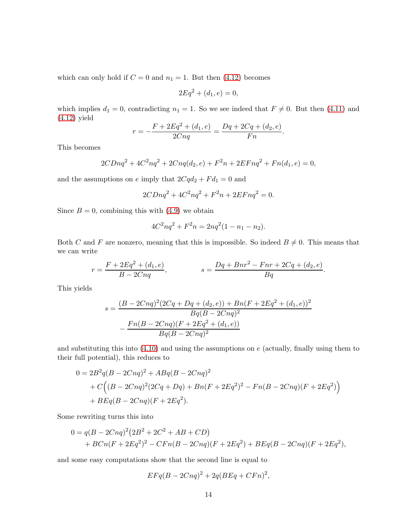which can only hold if  $C = 0$  and  $n_1 = 1$ . But then [\(4.12\)](#page-11-0) becomes

$$
2Eq2 + (d1, e) = 0,
$$

which implies  $d_1 = 0$ , contradicting  $n_1 = 1$ . So we see indeed that  $F \neq 0$ . But then [\(4.11\)](#page-11-2) and [\(4.12\)](#page-11-0) yield

$$
r = -\frac{F + 2Eq^2 + (d_1, e)}{2Cnq} = \frac{Dq + 2Cq + (d_2, e)}{Fn}.
$$

This becomes

$$
2CDnq^{2} + 4C^{2}nq^{2} + 2Cnq(d_{2}, e) + F^{2}n + 2EFnq^{2} + Fn(d_{1}, e) = 0,
$$

and the assumptions on  $e$  imply that  $2Cqd_2 + Fd_1 = 0$  and

$$
2CDnq^2 + 4C^2nq^2 + F^2n + 2EFnq^2 = 0.
$$

Since  $B = 0$ , combining this with  $(4.9)$  we obtain

$$
4C^2nq^2 + F^2n = 2nq^2(1 - n_1 - n_2).
$$

Both C and F are nonzero, meaning that this is impossible. So indeed  $B \neq 0$ . This means that we can write

$$
r = \frac{F + 2Eq^2 + (d_1, e)}{B - 2Cnq}, \qquad s = \frac{Dq + Bnr^2 - Fnr + 2Cq + (d_2, e)}{Bq}.
$$

This yields

$$
s = \frac{(B - 2Cnq)^{2}(2Cq + Dq + (d_{2}, e)) + Bn(F + 2Eq^{2} + (d_{1}, e))^{2}}{Bq(B - 2Cnq)^{2}}
$$

$$
-\frac{Fn(B - 2Cnq)(F + 2Eq^{2} + (d_{1}, e))}{Bq(B - 2Cnq)^{2}}
$$

and substituting this into  $(4.10)$  and using the assumptions on  $e$  (actually, finally using them to their full potential), this reduces to

$$
0 = 2B^{2}q(B - 2Cnq)^{2} + ABq(B - 2Cnq)^{2}
$$
  
+  $C((B - 2Cnq)^{2}(2Cq + Dq) + Bn(F + 2Eq^{2})^{2} - Fn(B - 2Cnq)(F + 2Eq^{2}))$   
+  $BEq(B - 2Cnq)(F + 2Eq^{2}).$ 

Some rewriting turns this into

$$
0 = q(B - 2Cnq)^{2}(2B^{2} + 2C^{2} + AB + CD)
$$
  
+ BCn(F + 2Eq<sup>2</sup>)<sup>2</sup> - CFn(B - 2Cnq)(F + 2Eq<sup>2</sup>) + BEq(B - 2Cnq)(F + 2Eq<sup>2</sup>),

and some easy computations show that the second line is equal to

$$
EFq(B - 2Cnq)^{2} + 2q(BEq + CFn)^{2},
$$